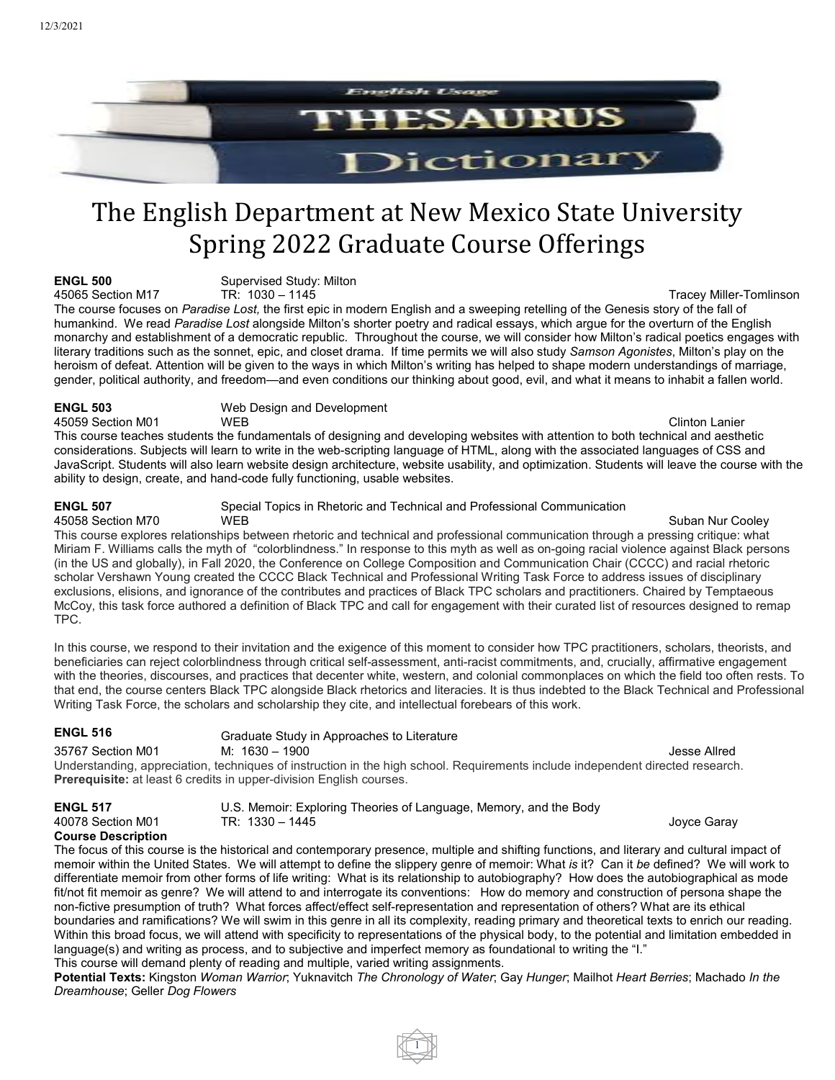

# The English Department at New Mexico State University Spring 2022 Graduate Course Offerings

**ENGL 500** Supervised Study: Milton<br>45065 Section M17 **TR:** 1030 - 1145

Tracev Miller-Tomlinson The course focuses on *Paradise Lost,* the first epic in modern English and a sweeping retelling of the Genesis story of the fall of humankind. We read *Paradise Lost* alongside Milton's shorter poetry and radical essays, which argue for the overturn of the English monarchy and establishment of a democratic republic. Throughout the course, we will consider how Milton's radical poetics engages with literary traditions such as the sonnet, epic, and closet drama. If time permits we will also study *Samson Agonistes*, Milton's play on the heroism of defeat. Attention will be given to the ways in which Milton's writing has helped to shape modern understandings of marriage, gender, political authority, and freedom—and even conditions our thinking about good, evil, and what it means to inhabit a fallen world.

**ENGL 503** Web Design and Development

45059 Section M01 WEB Clinton Lanier This course teaches students the fundamentals of designing and developing websites with attention to both technical and aesthetic considerations. Subjects will learn to write in the web-scripting language of HTML, along with the associated languages of CSS and JavaScript. Students will also learn website design architecture, website usability, and optimization. Students will leave the course with the ability to design, create, and hand-code fully functioning, usable websites.

**ENGL 507** Special Topics in Rhetoric and Technical and Professional Communication

A 19958 Section M70 And MEB Suban Nur Cooley Suban Nur Cooley This course explores relationships between rhetoric and technical and professional communication through a pressing critique: what Miriam F. Williams calls the myth of "colorblindness." In response to this myth as well as on-going racial violence against Black persons (in the US and globally), in Fall 2020, the Conference on College Composition and Communication Chair (CCCC) and racial rhetoric scholar Vershawn Young created the CCCC Black Technical and Professional Writing Task Force to address issues of disciplinary exclusions, elisions, and ignorance of the contributes and practices of Black TPC scholars and practitioners. Chaired by Temptaeous McCoy, this task force authored a definition of Black TPC and call for engagement with their curated list of resources designed to remap TPC.

In this course, we respond to their invitation and the exigence of this moment to consider how TPC practitioners, scholars, theorists, and beneficiaries can reject colorblindness through critical self-assessment, anti-racist commitments, and, crucially, affirmative engagement with the theories, discourses, and practices that decenter white, western, and colonial commonplaces on which the field too often rests. To that end, the course centers Black TPC alongside Black rhetorics and literacies. It is thus indebted to the Black Technical and Professional Writing Task Force, the scholars and scholarship they cite, and intellectual forebears of this work.

| ENGL 516                                                                                                                       | Graduate Study in Approaches to Literature |              |
|--------------------------------------------------------------------------------------------------------------------------------|--------------------------------------------|--------------|
| 35767 Section M01                                                                                                              | M: 1630 – 1900                             | Jesse Allred |
| Understanding, appreciation, techniques of instruction in the high school. Requirements include independent directed research. |                                            |              |
| <b>Prerequisite:</b> at least 6 credits in upper-division English courses.                                                     |                                            |              |

**ENGL 517** U.S. Memoir: Exploring Theories of Language, Memory, and the Body 40078 Section M01 TR: 1330 – 1445 Joyce Garay

### **Course Description**

The focus of this course is the historical and contemporary presence, multiple and shifting functions, and literary and cultural impact of memoir within the United States. We will attempt to define the slippery genre of memoir: What *is* it? Can it *be* defined? We will work to differentiate memoir from other forms of life writing: What is its relationship to autobiography? How does the autobiographical as mode fit/not fit memoir as genre? We will attend to and interrogate its conventions: How do memory and construction of persona shape the non-fictive presumption of truth? What forces affect/effect self-representation and representation of others? What are its ethical boundaries and ramifications? We will swim in this genre in all its complexity, reading primary and theoretical texts to enrich our reading. Within this broad focus, we will attend with specificity to representations of the physical body, to the potential and limitation embedded in language(s) and writing as process, and to subjective and imperfect memory as foundational to writing the "I." This course will demand plenty of reading and multiple, varied writing assignments.

**Potential Texts:** Kingston *Woman Warrior*; Yuknavitch *The Chronology of Water*; Gay *Hunger*; Mailhot *Heart Berries*; Machado *In the Dreamhouse*; Geller *Dog Flowers*

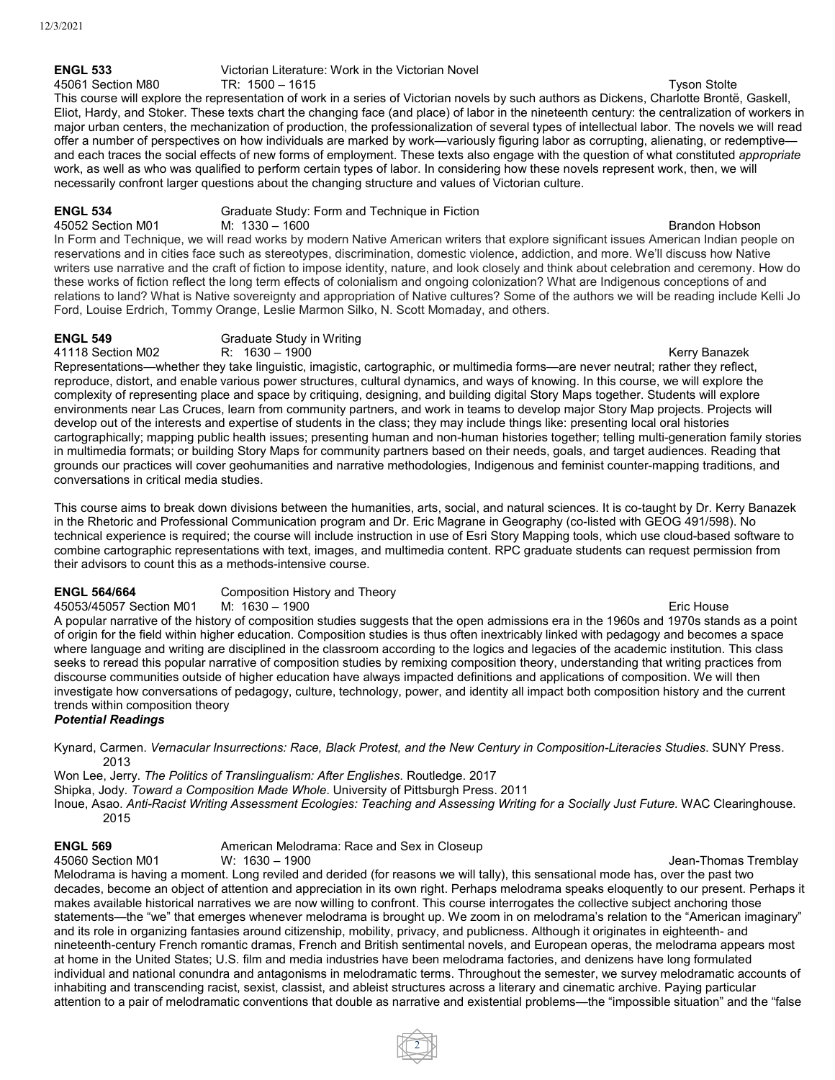## **ENGL 533** Victorian Literature: Work in the Victorian Novel

45061 Section M80 TR: 1500 – 1615 Tyson Stolte This course will explore the representation of work in a series of Victorian novels by such authors as Dickens, Charlotte Brontë, Gaskell, Eliot, Hardy, and Stoker. These texts chart the changing face (and place) of labor in the nineteenth century: the centralization of workers in major urban centers, the mechanization of production, the professionalization of several types of intellectual labor. The novels we will read offer a number of perspectives on how individuals are marked by work—variously figuring labor as corrupting, alienating, or redemptive and each traces the social effects of new forms of employment. These texts also engage with the question of what constituted *appropriate* work, as well as who was qualified to perform certain types of labor. In considering how these novels represent work, then, we will necessarily confront larger questions about the changing structure and values of Victorian culture.

**ENGL 534** Graduate Study: Form and Technique in Fiction

45052 Section M01 M: 1330 – 1600 Brandon Hobson In Form and Technique, we will read works by modern Native American writers that explore significant issues American Indian people on reservations and in cities face such as stereotypes, discrimination, domestic violence, addiction, and more. We'll discuss how Native writers use narrative and the craft of fiction to impose identity, nature, and look closely and think about celebration and ceremony. How do these works of fiction reflect the long term effects of colonialism and ongoing colonization? What are Indigenous conceptions of and relations to land? What is Native sovereignty and appropriation of Native cultures? Some of the authors we will be reading include Kelli Jo Ford, Louise Erdrich, Tommy Orange, Leslie Marmon Silko, N. Scott Momaday, and others.

**ENGL 549** Graduate Study in Writing<br>41118 Section M02 R: 1630 - 1900

41118 Section M02 R: 1630 – 1900 Reviewed Banazek Article Section Article Section Article Section Article Section Article Section Article Section Article Section Article Section Article Section Article Section Article Sect Representations—whether they take linguistic, imagistic, cartographic, or multimedia forms—are never neutral; rather they reflect, reproduce, distort, and enable various power structures, cultural dynamics, and ways of knowing. In this course, we will explore the complexity of representing place and space by critiquing, designing, and building digital Story Maps together. Students will explore environments near Las Cruces, learn from community partners, and work in teams to develop major Story Map projects. Projects will develop out of the interests and expertise of students in the class; they may include things like: presenting local oral histories cartographically; mapping public health issues; presenting human and non-human histories together; telling multi-generation family stories in multimedia formats; or building Story Maps for community partners based on their needs, goals, and target audiences. Reading that grounds our practices will cover geohumanities and narrative methodologies, Indigenous and feminist counter-mapping traditions, and conversations in critical media studies.

This course aims to break down divisions between the humanities, arts, social, and natural sciences. It is co-taught by Dr. Kerry Banazek in the Rhetoric and Professional Communication program and Dr. Eric Magrane in Geography (co-listed with GEOG 491/598). No technical experience is required; the course will include instruction in use of Esri Story Mapping tools, which use cloud-based software to combine cartographic representations with text, images, and multimedia content. RPC graduate students can request permission from their advisors to count this as a methods-intensive course.

**ENGL 564/664** Composition History and Theory<br>45053/45057 Section M01 M: 1630 – 1900

45053/45057 Section M01 M: 1630 – 1900 Eric House A popular narrative of the history of composition studies suggests that the open admissions era in the 1960s and 1970s stands as a point of origin for the field within higher education. Composition studies is thus often inextricably linked with pedagogy and becomes a space where language and writing are disciplined in the classroom according to the logics and legacies of the academic institution. This class seeks to reread this popular narrative of composition studies by remixing composition theory, understanding that writing practices from discourse communities outside of higher education have always impacted definitions and applications of composition. We will then investigate how conversations of pedagogy, culture, technology, power, and identity all impact both composition history and the current trends within composition theory

### *Potential Readings*

Kynard, Carmen. *Vernacular Insurrections: Race, Black Protest, and the New Century in Composition-Literacies Studies*. SUNY Press. 2013

Won Lee, Jerry. *The Politics of Translingualism: After Englishes*. Routledge. 2017

Shipka, Jody. *Toward a Composition Made Whole*. University of Pittsburgh Press. 2011

Inoue, Asao. *Anti-Racist Writing Assessment Ecologies: Teaching and Assessing Writing for a Socially Just Future.* WAC Clearinghouse. 2015

**ENGL 569** American Melodrama: Race and Sex in Closeup<br>45060 Section M01 W: 1630 – 1900

Jean-Thomas Tremblay

Melodrama is having a moment. Long reviled and derided (for reasons we will tally), this sensational mode has, over the past two decades, become an object of attention and appreciation in its own right. Perhaps melodrama speaks eloquently to our present. Perhaps it makes available historical narratives we are now willing to confront. This course interrogates the collective subject anchoring those statements—the "we" that emerges whenever melodrama is brought up. We zoom in on melodrama's relation to the "American imaginary" and its role in organizing fantasies around citizenship, mobility, privacy, and publicness. Although it originates in eighteenth- and nineteenth-century French romantic dramas, French and British sentimental novels, and European operas, the melodrama appears most at home in the United States; U.S. film and media industries have been melodrama factories, and denizens have long formulated individual and national conundra and antagonisms in melodramatic terms. Throughout the semester, we survey melodramatic accounts of inhabiting and transcending racist, sexist, classist, and ableist structures across a literary and cinematic archive. Paying particular attention to a pair of melodramatic conventions that double as narrative and existential problems—the "impossible situation" and the "false